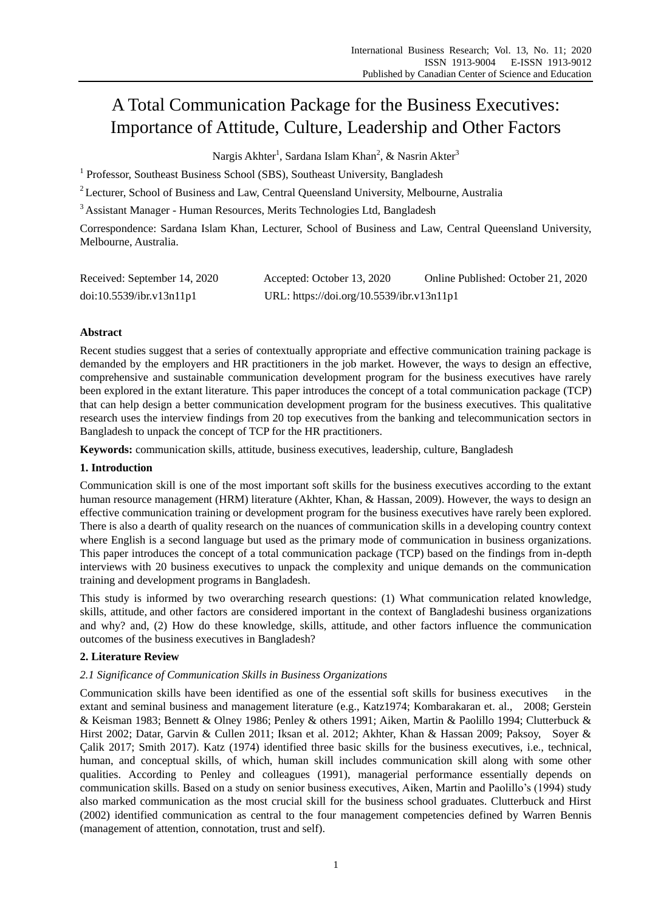# A Total Communication Package for the Business Executives: Importance of Attitude, Culture, Leadership and Other Factors

Nargis Akhter<sup>1</sup>, Sardana Islam Khan<sup>2</sup>, & Nasrin Akter<sup>3</sup>

<sup>1</sup> Professor, Southeast Business School (SBS), Southeast University, Bangladesh

<sup>2</sup> Lecturer, School of Business and Law, Central Queensland University, Melbourne, Australia

<sup>3</sup> Assistant Manager - Human Resources, Merits Technologies Ltd, Bangladesh

Correspondence: Sardana Islam Khan, Lecturer, School of Business and Law, Central Queensland University, Melbourne, Australia.

| Received: September 14, 2020 | Accepted: October 13, 2020                | Online Published: October 21, 2020 |  |
|------------------------------|-------------------------------------------|------------------------------------|--|
| doi:10.5539/ibr.v13n11p1     | URL: https://doi.org/10.5539/ibr.v13n11p1 |                                    |  |

# **Abstract**

Recent studies suggest that a series of contextually appropriate and effective communication training package is demanded by the employers and HR practitioners in the job market. However, the ways to design an effective, comprehensive and sustainable communication development program for the business executives have rarely been explored in the extant literature. This paper introduces the concept of a total communication package (TCP) that can help design a better communication development program for the business executives. This qualitative research uses the interview findings from 20 top executives from the banking and telecommunication sectors in Bangladesh to unpack the concept of TCP for the HR practitioners.

**Keywords:** communication skills, attitude, business executives, leadership, culture, Bangladesh

# **1. Introduction**

Communication skill is one of the most important soft skills for the business executives according to the extant human resource management (HRM) literature (Akhter, Khan, & Hassan, 2009). However, the ways to design an effective communication training or development program for the business executives have rarely been explored. There is also a dearth of quality research on the nuances of communication skills in a developing country context where English is a second language but used as the primary mode of communication in business organizations. This paper introduces the concept of a total communication package (TCP) based on the findings from in-depth interviews with 20 business executives to unpack the complexity and unique demands on the communication training and development programs in Bangladesh.

This study is informed by two overarching research questions: (1) What communication related knowledge, skills, attitude, and other factors are considered important in the context of Bangladeshi business organizations and why? and, (2) How do these knowledge, skills, attitude, and other factors influence the communication outcomes of the business executives in Bangladesh?

# **2. Literature Review**

# *2.1 Significance of Communication Skills in Business Organizations*

Communication skills have been identified as one of the essential soft skills for business executives in the extant and seminal business and management literature (e.g., Katz1974; Kombarakaran et. al., 2008; Gerstein & Keisman 1983; Bennett & Olney 1986; Penley & others 1991; Aiken, Martin & Paolillo 1994; Clutterbuck & Hirst 2002; Datar, Garvin & Cullen 2011; Iksan et al. 2012; Akhter, Khan & Hassan 2009; Paksoy, Soyer & Çalik 2017; Smith 2017). Katz (1974) identified three basic skills for the business executives, i.e., technical, human, and conceptual skills, of which, human skill includes communication skill along with some other qualities. According to Penley and colleagues (1991), managerial performance essentially depends on communication skills. Based on a study on senior business executives, Aiken, Martin and Paolillo"s (1994) study also marked communication as the most crucial skill for the business school graduates. Clutterbuck and Hirst (2002) identified communication as central to the four management competencies defined by Warren Bennis (management of attention, connotation, trust and self).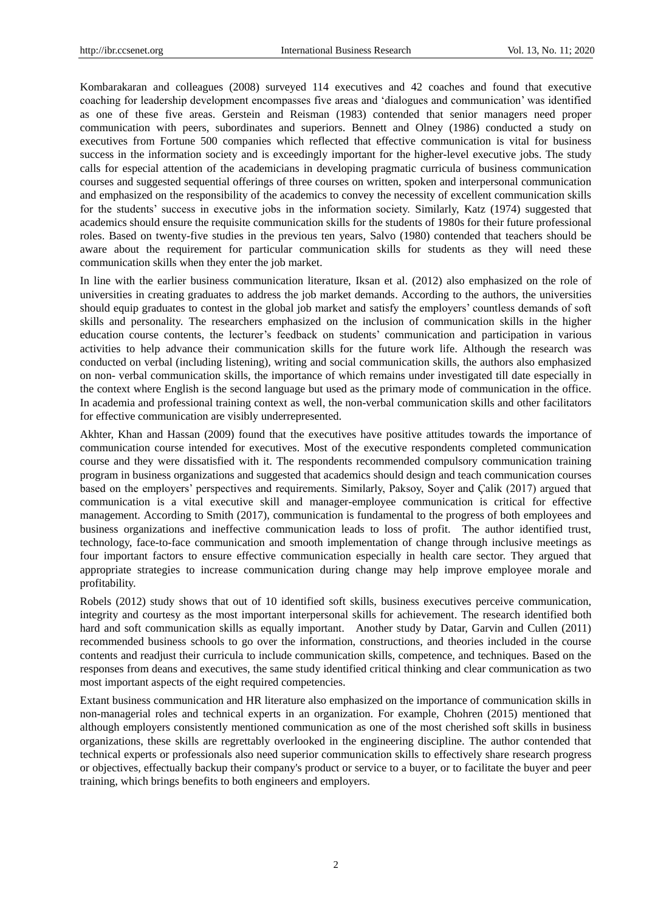Kombarakaran and colleagues (2008) surveyed 114 executives and 42 coaches and found that executive coaching for leadership development encompasses five areas and "dialogues and communication" was identified as one of these five areas. Gerstein and Reisman (1983) contended that senior managers need proper communication with peers, subordinates and superiors. Bennett and Olney (1986) conducted a study on executives from Fortune 500 companies which reflected that effective communication is vital for business success in the information society and is exceedingly important for the higher-level executive jobs. The study calls for especial attention of the academicians in developing pragmatic curricula of business communication courses and suggested sequential offerings of three courses on written, spoken and interpersonal communication and emphasized on the responsibility of the academics to convey the necessity of excellent communication skills for the students" success in executive jobs in the information society. Similarly, Katz (1974) suggested that academics should ensure the requisite communication skills for the students of 1980s for their future professional roles. Based on twenty-five studies in the previous ten years, Salvo (1980) contended that teachers should be aware about the requirement for particular communication skills for students as they will need these communication skills when they enter the job market.

In line with the earlier business communication literature, Iksan et al. (2012) also emphasized on the role of universities in creating graduates to address the job market demands. According to the authors, the universities should equip graduates to contest in the global job market and satisfy the employers" countless demands of soft skills and personality. The researchers emphasized on the inclusion of communication skills in the higher education course contents, the lecturer"s feedback on students" communication and participation in various activities to help advance their communication skills for the future work life. Although the research was conducted on verbal (including listening), writing and social communication skills, the authors also emphasized on non- verbal communication skills, the importance of which remains under investigated till date especially in the context where English is the second language but used as the primary mode of communication in the office. In academia and professional training context as well, the non-verbal communication skills and other facilitators for effective communication are visibly underrepresented.

Akhter, Khan and Hassan (2009) found that the executives have positive attitudes towards the importance of communication course intended for executives. Most of the executive respondents completed communication course and they were dissatisfied with it. The respondents recommended compulsory communication training program in business organizations and suggested that academics should design and teach communication courses based on the employers" perspectives and requirements. Similarly, Paksoy, Soyer and Çalik (2017) argued that communication is a vital executive skill and manager-employee communication is critical for effective management. According to Smith (2017), communication is fundamental to the progress of both employees and business organizations and ineffective communication leads to loss of profit. The author identified trust, technology, face-to-face communication and smooth implementation of change through inclusive meetings as four important factors to ensure effective communication especially in health care sector. They argued that appropriate strategies to increase communication during change may help improve employee morale and profitability.

Robels (2012) study shows that out of 10 identified soft skills, business executives perceive communication, integrity and courtesy as the most important interpersonal skills for achievement. The research identified both hard and soft communication skills as equally important. Another study by Datar, Garvin and Cullen (2011) recommended business schools to go over the information, constructions, and theories included in the course contents and readjust their curricula to include communication skills, competence, and techniques. Based on the responses from deans and executives, the same study identified critical thinking and clear communication as two most important aspects of the eight required competencies.

Extant business communication and HR literature also emphasized on the importance of communication skills in non-managerial roles and technical experts in an organization. For example, Chohren (2015) mentioned that although employers consistently mentioned communication as one of the most cherished soft skills in business organizations, these skills are regrettably overlooked in the engineering discipline. The author contended that technical experts or professionals also need superior communication skills to effectively share research progress or objectives, effectually backup their company's product or service to a buyer, or to facilitate the buyer and peer training, which brings benefits to both engineers and employers.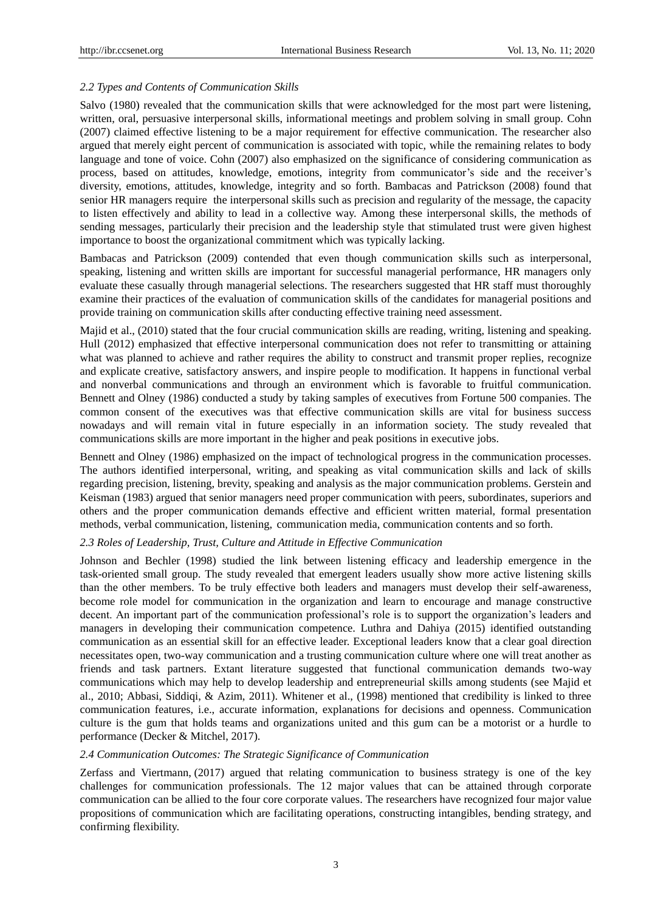### *2.2 Types and Contents of Communication Skills*

Salvo (1980) revealed that the communication skills that were acknowledged for the most part were listening, written, oral, persuasive interpersonal skills, informational meetings and problem solving in small group. Cohn (2007) claimed effective listening to be a major requirement for effective communication. The researcher also argued that merely eight percent of communication is associated with topic, while the remaining relates to body language and tone of voice. Cohn (2007) also emphasized on the significance of considering communication as process, based on attitudes, knowledge, emotions, integrity from communicator's side and the receiver's diversity, emotions, attitudes, knowledge, integrity and so forth. Bambacas and Patrickson (2008) found that senior HR managers require the interpersonal skills such as precision and regularity of the message, the capacity to listen effectively and ability to lead in a collective way. Among these interpersonal skills, the methods of sending messages, particularly their precision and the leadership style that stimulated trust were given highest importance to boost the organizational commitment which was typically lacking.

Bambacas and Patrickson (2009) contended that even though communication skills such as interpersonal, speaking, listening and written skills are important for successful managerial performance, HR managers only evaluate these casually through managerial selections. The researchers suggested that HR staff must thoroughly examine their practices of the evaluation of communication skills of the candidates for managerial positions and provide training on communication skills after conducting effective training need assessment.

Majid et al., (2010) stated that the four crucial communication skills are reading, writing, listening and speaking. Hull (2012) emphasized that effective interpersonal communication does not refer to transmitting or attaining what was planned to achieve and rather requires the ability to construct and transmit proper replies, recognize and explicate creative, satisfactory answers, and inspire people to modification. It happens in functional verbal and nonverbal communications and through an environment which is favorable to fruitful communication. Bennett and Olney (1986) conducted a study by taking samples of executives from Fortune 500 companies. The common consent of the executives was that effective communication skills are vital for business success nowadays and will remain vital in future especially in an information society. The study revealed that communications skills are more important in the higher and peak positions in executive jobs.

Bennett and Olney (1986) emphasized on the impact of technological progress in the communication processes. The authors identified interpersonal, writing, and speaking as vital communication skills and lack of skills regarding precision, listening, brevity, speaking and analysis as the major communication problems. Gerstein and Keisman (1983) argued that senior managers need proper communication with peers, subordinates, superiors and others and the proper communication demands effective and efficient written material, formal presentation methods, verbal communication, listening, communication media, communication contents and so forth.

### *2.3 Roles of Leadership, Trust, Culture and Attitude in Effective Communication*

Johnson and Bechler (1998) studied the link between listening efficacy and leadership emergence in the task-oriented small group. The study revealed that emergent leaders usually show more active listening skills than the other members. To be truly effective both leaders and managers must develop their self-awareness, become role model for communication in the organization and learn to encourage and manage constructive decent. An important part of the communication professional"s role is to support the organization"s leaders and managers in developing their communication competence. Luthra and Dahiya (2015) identified outstanding communication as an essential skill for an effective leader. Exceptional leaders know that a [clear goal direction](https://managemagazine.com/article-bank/self-handicapping-leadership/self-handicapping-leadership-performance-mastery-management/)  necessitates open, two-way communication and a trusting communication culture where one will treat another as friends and task partners. Extant literature suggested that functional communication demands two-way communications which may help to develop leadership and entrepreneurial skills among students (see Majid et al., 2010; Abbasi, Siddiqi, & Azim, 2011). Whitener et al., (1998) mentioned that credibility is linked to three communication features, i.e., accurate information, explanations for decisions and openness. Communication culture is the gum that holds teams and organizations united and this gum can be a motorist or a hurdle to performance (Decker & Mitchel, 2017).

### *2.4 Communication Outcomes: The Strategic Significance of Communication*

Zerfass and Viertmann, (2017) argued that relating communication to business strategy is one of the key challenges for communication professionals. The 12 major values that can be attained through corporate communication can be allied to the four core corporate values. The researchers have recognized four major value propositions of communication which are facilitating operations, constructing intangibles, bending strategy, and confirming flexibility.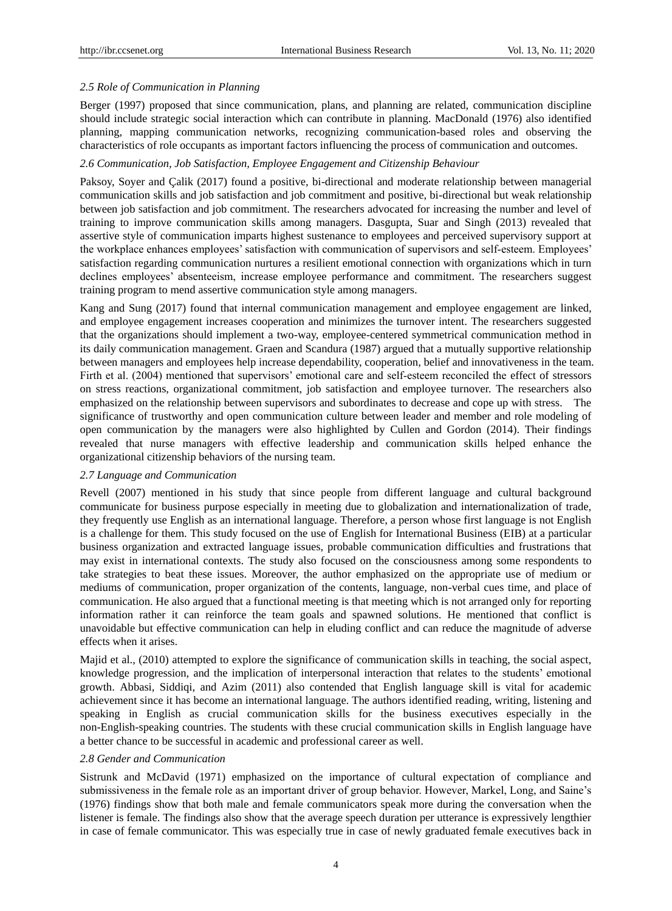### *2.5 Role of Communication in Planning*

Berger (1997) proposed that since communication, plans, and planning are related, communication discipline should include strategic social interaction which can contribute in planning. MacDonald (1976) also identified planning, mapping communication networks, recognizing communication-based roles and observing the characteristics of role occupants as important factors influencing the process of communication and outcomes.

### *2.6 Communication, Job Satisfaction, Employee Engagement and Citizenship Behaviour*

Paksoy, Soyer and Çalik (2017) found a positive, bi-directional and moderate relationship between managerial communication skills and job satisfaction and job commitment and positive, bi-directional but weak relationship between job satisfaction and job commitment. The researchers advocated for increasing the number and level of training to improve communication skills among managers. Dasgupta, Suar and Singh (2013) revealed that assertive style of communication imparts highest sustenance to employees and perceived supervisory support at the workplace enhances employees' satisfaction with communication of supervisors and self-esteem. Employees' satisfaction regarding communication nurtures a resilient emotional connection with organizations which in turn declines employees" absenteeism, increase employee performance and commitment. The researchers suggest training program to mend assertive communication style among managers.

Kang and Sung (2017) found that internal communication management and employee engagement are linked, and employee engagement increases cooperation and minimizes the turnover intent. The researchers suggested that the organizations should implement a two-way, employee-centered symmetrical communication method in its daily communication management. Graen and Scandura (1987) argued that a mutually supportive relationship between managers and employees help increase dependability, cooperation, belief and innovativeness in the team. Firth et al. (2004) mentioned that supervisors' emotional care and self-esteem reconciled the effect of stressors on stress reactions, organizational commitment, job satisfaction and employee turnover. The researchers also emphasized on the relationship between supervisors and subordinates to decrease and cope up with stress. The significance of trustworthy and open communication culture between leader and member and role modeling of open communication by the managers were also highlighted by Cullen and Gordon (2014). Their findings revealed that nurse managers with effective leadership and communication skills helped enhance the organizational citizenship behaviors of the nursing team.

### *2.7 Language and Communication*

Revell (2007) mentioned in his study that since people from different language and cultural background communicate for business purpose especially in meeting due to globalization and internationalization of trade, they frequently use English as an international language. Therefore, a person whose first language is not English is a challenge for them. This study focused on the use of English for International Business (EIB) at a particular business organization and extracted language issues, probable communication difficulties and frustrations that may exist in international contexts. The study also focused on the consciousness among some respondents to take strategies to beat these issues. Moreover, the author emphasized on the appropriate use of medium or mediums of communication, proper organization of the contents, language, non-verbal cues time, and place of communication. He also argued that a functional meeting is that meeting which is not arranged only for reporting information rather it can reinforce the team goals and spawned solutions. He mentioned that conflict is unavoidable but effective communication can help in eluding conflict and can reduce the magnitude of adverse effects when it arises.

Majid et al., (2010) attempted to explore the significance of communication skills in teaching, the social aspect, knowledge progression, and the implication of interpersonal interaction that relates to the students" emotional growth. Abbasi, Siddiqi, and Azim (2011) also contended that English language skill is vital for academic achievement since it has become an international language. The authors identified reading, writing, listening and speaking in English as crucial communication skills for the business executives especially in the non-English-speaking countries. The students with these crucial communication skills in English language have a better chance to be successful in academic and professional career as well.

### *2.8 Gender and Communication*

Sistrunk and McDavid (1971) emphasized on the importance of cultural expectation of compliance and submissiveness in the female role as an important driver of group behavior. However, Markel, Long, and Saine"s (1976) findings show that both male and female communicators speak more during the conversation when the listener is female. The findings also show that the average speech duration per utterance is expressively lengthier in case of female communicator. This was especially true in case of newly graduated female executives back in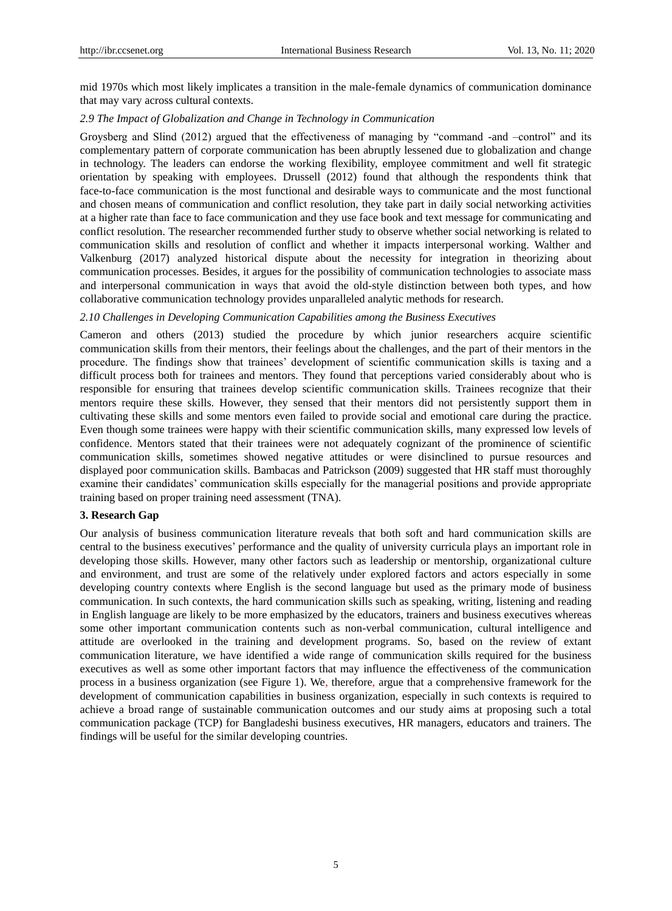mid 1970s which most likely implicates a transition in the male-female dynamics of communication dominance that may vary across cultural contexts.

### *2.9 The Impact of Globalization and Change in Technology in Communication*

Groysberg and Slind (2012) argued that the effectiveness of managing by "command -and –control" and its complementary pattern of corporate communication has been abruptly lessened due to globalization and change in technology. The leaders can endorse the working flexibility, employee commitment and well fit strategic orientation by speaking with employees. Drussell (2012) found that although the respondents think that face-to-face communication is the most functional and desirable ways to communicate and the most functional and chosen means of communication and conflict resolution, they take part in daily social networking activities at a higher rate than face to face communication and they use face book and text message for communicating and conflict resolution. The researcher recommended further study to observe whether social networking is related to communication skills and resolution of conflict and whether it impacts interpersonal working. Walther and Valkenburg (2017) analyzed historical dispute about the necessity for integration in theorizing about communication processes. Besides, it argues for the possibility of communication technologies to associate mass and interpersonal communication in ways that avoid the old-style distinction between both types, and how collaborative communication technology provides unparalleled analytic methods for research.

### *2.10 Challenges in Developing Communication Capabilities among the Business Executives*

Cameron and others (2013) studied the procedure by which junior researchers acquire scientific communication skills from their mentors, their feelings about the challenges, and the part of their mentors in the procedure. The findings show that trainees" development of scientific communication skills is taxing and a difficult process both for trainees and mentors. They found that perceptions varied considerably about who is responsible for ensuring that trainees develop scientific communication skills. Trainees recognize that their mentors require these skills. However, they sensed that their mentors did not persistently support them in cultivating these skills and some mentors even failed to provide social and emotional care during the practice. Even though some trainees were happy with their scientific communication skills, many expressed low levels of confidence. Mentors stated that their trainees were not adequately cognizant of the prominence of scientific communication skills, sometimes showed negative attitudes or were disinclined to pursue resources and displayed poor communication skills. Bambacas and Patrickson (2009) suggested that HR staff must thoroughly examine their candidates" communication skills especially for the managerial positions and provide appropriate training based on proper training need assessment (TNA).

### **3. Research Gap**

Our analysis of business communication literature reveals that both soft and hard communication skills are central to the business executives" performance and the quality of university curricula plays an important role in developing those skills. However, many other factors such as leadership or mentorship, organizational culture and environment, and trust are some of the relatively under explored factors and actors especially in some developing country contexts where English is the second language but used as the primary mode of business communication. In such contexts, the hard communication skills such as speaking, writing, listening and reading in English language are likely to be more emphasized by the educators, trainers and business executives whereas some other important communication contents such as non-verbal communication, cultural intelligence and attitude are overlooked in the training and development programs. So, based on the review of extant communication literature, we have identified a wide range of communication skills required for the business executives as well as some other important factors that may influence the effectiveness of the communication process in a business organization (see Figure 1). We, therefore, argue that a comprehensive framework for the development of communication capabilities in business organization, especially in such contexts is required to achieve a broad range of sustainable communication outcomes and our study aims at proposing such a total communication package (TCP) for Bangladeshi business executives, HR managers, educators and trainers. The findings will be useful for the similar developing countries.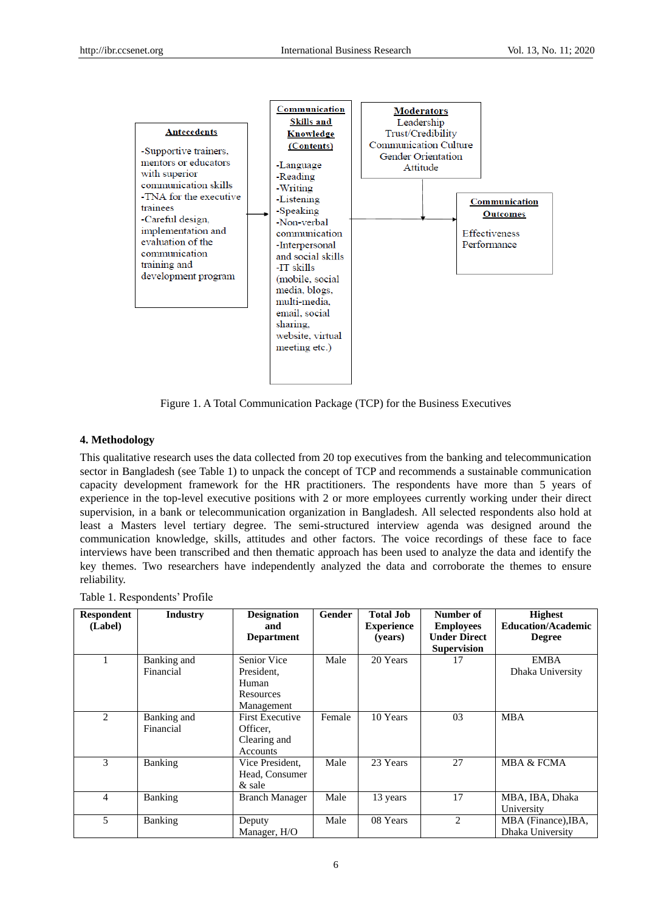

Figure 1. A Total Communication Package (TCP) for the Business Executives

### **4. Methodology**

This qualitative research uses the data collected from 20 top executives from the banking and telecommunication sector in Bangladesh (see Table 1) to unpack the concept of TCP and recommends a sustainable communication capacity development framework for the HR practitioners. The respondents have more than 5 years of experience in the top-level executive positions with 2 or more employees currently working under their direct supervision, in a bank or telecommunication organization in Bangladesh. All selected respondents also hold at least a Masters level tertiary degree. The semi-structured interview agenda was designed around the communication knowledge, skills, attitudes and other factors. The voice recordings of these face to face interviews have been transcribed and then thematic approach has been used to analyze the data and identify the key themes. Two researchers have independently analyzed the data and corroborate the themes to ensure reliability.

| <b>Respondent</b><br>(Label) | <b>Industry</b>          | <b>Designation</b><br>and<br><b>Department</b>                        | Gender | <b>Total Job</b><br><b>Experience</b><br>(years) | Number of<br><b>Employees</b><br><b>Under Direct</b><br><b>Supervision</b> | <b>Highest</b><br><b>Education/Academic</b><br><b>Degree</b> |
|------------------------------|--------------------------|-----------------------------------------------------------------------|--------|--------------------------------------------------|----------------------------------------------------------------------------|--------------------------------------------------------------|
|                              | Banking and<br>Financial | Senior Vice<br>President,<br>Human<br>Resources<br>Management         | Male   | 20 Years                                         | 17                                                                         | <b>EMBA</b><br>Dhaka University                              |
| 2                            | Banking and<br>Financial | <b>First Executive</b><br>Officer.<br>Clearing and<br><b>Accounts</b> | Female | 10 Years                                         | 03                                                                         | <b>MBA</b>                                                   |
| 3                            | Banking                  | Vice President.<br>Head, Consumer<br>& sale                           | Male   | 23 Years                                         | 27                                                                         | MBA & FCMA                                                   |
| 4                            | Banking                  | <b>Branch Manager</b>                                                 | Male   | 13 years                                         | 17                                                                         | MBA, IBA, Dhaka<br>University                                |
| 5                            | Banking                  | Deputy<br>Manager, H/O                                                | Male   | 08 Years                                         | $\mathcal{D}_{\mathcal{L}}$                                                | MBA (Finance), IBA,<br>Dhaka University                      |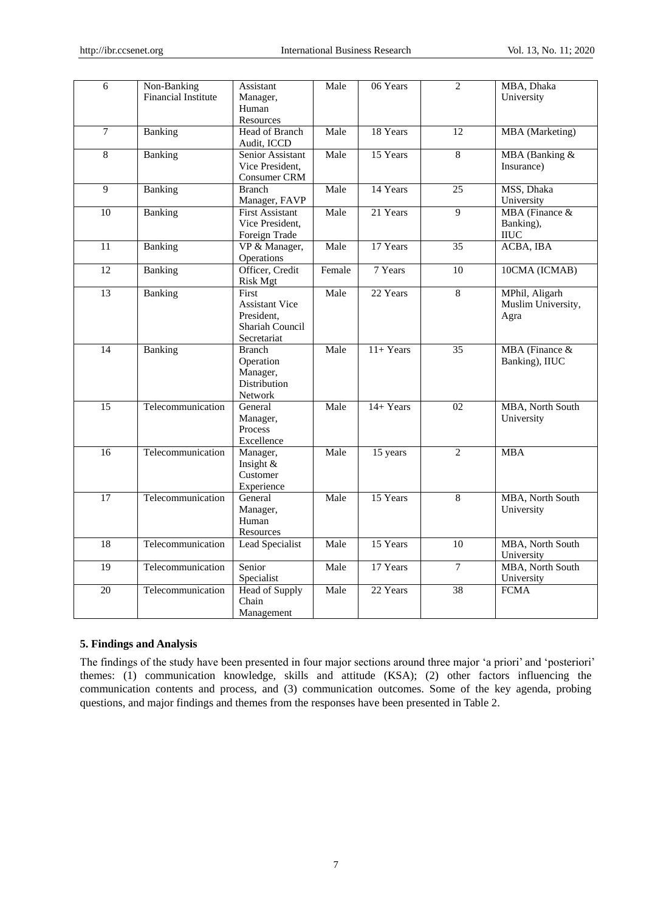| 6               | Non-Banking<br><b>Financial Institute</b> | Assistant<br>Manager,<br>Human<br>Resources                                           | Male   | 06 Years   | $\overline{2}$  | MBA, Dhaka<br>University                     |
|-----------------|-------------------------------------------|---------------------------------------------------------------------------------------|--------|------------|-----------------|----------------------------------------------|
| $\tau$          | Banking                                   | Head of Branch<br>Audit, ICCD                                                         | Male   | 18 Years   | 12              | <b>MBA</b> (Marketing)                       |
| 8               | Banking                                   | Senior Assistant<br>Vice President.<br>Consumer CRM                                   | Male   | 15 Years   | 8               | MBA (Banking &<br>Insurance)                 |
| 9               | Banking                                   | <b>Branch</b><br>Manager, FAVP                                                        | Male   | 14 Years   | 25              | MSS, Dhaka<br>University                     |
| 10              | Banking                                   | <b>First Assistant</b><br>Vice President.<br>Foreign Trade                            | Male   | 21 Years   | $\overline{9}$  | MBA (Finance &<br>Banking),<br><b>IIUC</b>   |
| 11              | Banking                                   | VP & Manager,<br>Operations                                                           | Male   | 17 Years   | 35              | ACBA, IBA                                    |
| 12              | Banking                                   | Officer, Credit<br><b>Risk Mgt</b>                                                    | Female | 7 Years    | $\overline{10}$ | 10CMA (ICMAB)                                |
| 13              | Banking                                   | First<br><b>Assistant Vice</b><br>President.<br><b>Shariah Council</b><br>Secretariat | Male   | 22 Years   | $\overline{8}$  | MPhil, Aligarh<br>Muslim University,<br>Agra |
| 14              | Banking                                   | <b>Branch</b><br>Operation<br>Manager,<br>Distribution<br>Network                     | Male   | $11+Years$ | 35              | MBA (Finance &<br>Banking), IIUC             |
| 15              | Telecommunication                         | General<br>Manager,<br>Process<br>Excellence                                          | Male   | 14+ Years  | 02              | MBA, North South<br>University               |
| $\overline{16}$ | Telecommunication                         | Manager,<br>Insight &<br>Customer<br>Experience                                       | Male   | 15 years   | $\overline{2}$  | <b>MBA</b>                                   |
| $\overline{17}$ | Telecommunication                         | General<br>Manager,<br>Human<br>Resources                                             | Male   | 15 Years   | 8               | MBA, North South<br>University               |
| 18              | Telecommunication                         | Lead Specialist                                                                       | Male   | 15 Years   | 10              | MBA, North South<br>University               |
| $\overline{19}$ | Telecommunication                         | Senior<br>Specialist                                                                  | Male   | 17 Years   | $\overline{7}$  | MBA, North South<br>University               |
| 20              | Telecommunication                         | <b>Head of Supply</b><br>Chain<br>Management                                          | Male   | 22 Years   | 38              | <b>FCMA</b>                                  |

# **5. Findings and Analysis**

The findings of the study have been presented in four major sections around three major 'a priori' and 'posteriori' themes: (1) communication knowledge, skills and attitude (KSA); (2) other factors influencing the communication contents and process, and (3) communication outcomes. Some of the key agenda, probing questions, and major findings and themes from the responses have been presented in Table 2.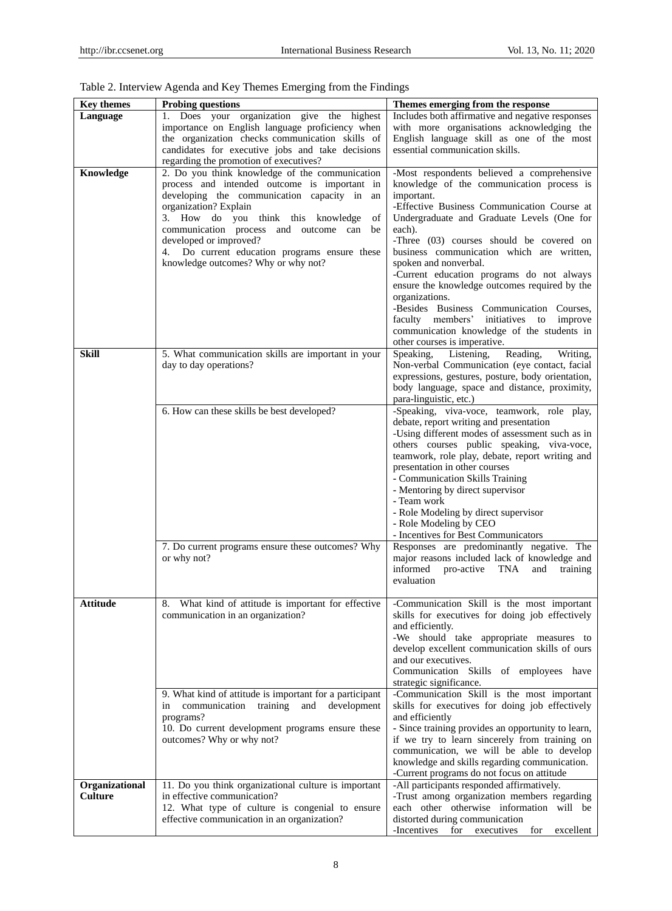| <b>Key themes</b> | <b>Probing questions</b>                                | Themes emerging from the response                  |
|-------------------|---------------------------------------------------------|----------------------------------------------------|
| <b>Language</b>   | Does your organization give the highest<br>1.           | Includes both affirmative and negative responses   |
|                   | importance on English language proficiency when         | with more organisations acknowledging the          |
|                   | the organization checks communication skills of         | English language skill as one of the most          |
|                   | candidates for executive jobs and take decisions        | essential communication skills.                    |
|                   | regarding the promotion of executives?                  |                                                    |
| Knowledge         | 2. Do you think knowledge of the communication          | -Most respondents believed a comprehensive         |
|                   | process and intended outcome is important in            | knowledge of the communication process is          |
|                   | developing the communication capacity in<br>an          | important.                                         |
|                   | organization? Explain                                   | -Effective Business Communication Course at        |
|                   | 3. How do you think this knowledge<br>of                | Undergraduate and Graduate Levels (One for         |
|                   | communication process and outcome can<br>be             | each).                                             |
|                   | developed or improved?                                  | -Three (03) courses should be covered on           |
|                   | Do current education programs ensure these<br>4.        | business communication which are written,          |
|                   | knowledge outcomes? Why or why not?                     | spoken and nonverbal.                              |
|                   |                                                         | -Current education programs do not always          |
|                   |                                                         | ensure the knowledge outcomes required by the      |
|                   |                                                         |                                                    |
|                   |                                                         | organizations.                                     |
|                   |                                                         | -Besides Business Communication Courses,           |
|                   |                                                         | faculty members'<br>initiatives<br>improve<br>to   |
|                   |                                                         | communication knowledge of the students in         |
|                   |                                                         | other courses is imperative.                       |
| Skill             | 5. What communication skills are important in your      | Speaking, Listening,<br>Reading,<br>Writing,       |
|                   | day to day operations?                                  | Non-verbal Communication (eye contact, facial      |
|                   |                                                         | expressions, gestures, posture, body orientation,  |
|                   |                                                         | body language, space and distance, proximity,      |
|                   |                                                         | para-linguistic, etc.)                             |
|                   | 6. How can these skills be best developed?              | -Speaking, viva-voce, teamwork, role play,         |
|                   |                                                         | debate, report writing and presentation            |
|                   |                                                         | -Using different modes of assessment such as in    |
|                   |                                                         | others courses public speaking, viva-voce,         |
|                   |                                                         | teamwork, role play, debate, report writing and    |
|                   |                                                         | presentation in other courses                      |
|                   |                                                         | - Communication Skills Training                    |
|                   |                                                         | - Mentoring by direct supervisor                   |
|                   |                                                         | - Team work                                        |
|                   |                                                         | - Role Modeling by direct supervisor               |
|                   |                                                         | - Role Modeling by CEO                             |
|                   |                                                         | - Incentives for Best Communicators                |
|                   | 7. Do current programs ensure these outcomes? Why       | Responses are predominantly negative. The          |
|                   | or why not?                                             | major reasons included lack of knowledge and       |
|                   |                                                         | informed<br>pro-active<br>TNA<br>and<br>training   |
|                   |                                                         | evaluation                                         |
|                   |                                                         |                                                    |
| Attitude          | What kind of attitude is important for effective<br>8.  | -Communication Skill is the most important         |
|                   | communication in an organization?                       | skills for executives for doing job effectively    |
|                   |                                                         | and efficiently.                                   |
|                   |                                                         | -We should take appropriate measures to            |
|                   |                                                         | develop excellent communication skills of ours     |
|                   |                                                         | and our executives.                                |
|                   |                                                         | Communication Skills of employees have             |
|                   |                                                         | strategic significance.                            |
|                   |                                                         |                                                    |
|                   | 9. What kind of attitude is important for a participant | -Communication Skill is the most important         |
|                   | communication<br>training<br>and<br>development<br>in   | skills for executives for doing job effectively    |
|                   | programs?                                               | and efficiently                                    |
|                   | 10. Do current development programs ensure these        | - Since training provides an opportunity to learn, |
|                   | outcomes? Why or why not?                               | if we try to learn sincerely from training on      |
|                   |                                                         | communication, we will be able to develop          |
|                   |                                                         | knowledge and skills regarding communication.      |
|                   |                                                         | -Current programs do not focus on attitude         |
| Organizational    | 11. Do you think organizational culture is important    | -All participants responded affirmatively.         |
| Culture           | in effective communication?                             | -Trust among organization members regarding        |
|                   | 12. What type of culture is congenial to ensure         | each other otherwise information will be           |
|                   | effective communication in an organization?             | distorted during communication                     |
|                   |                                                         | -Incentives for executives<br>for<br>excellent     |

# Table 2. Interview Agenda and Key Themes Emerging from the Findings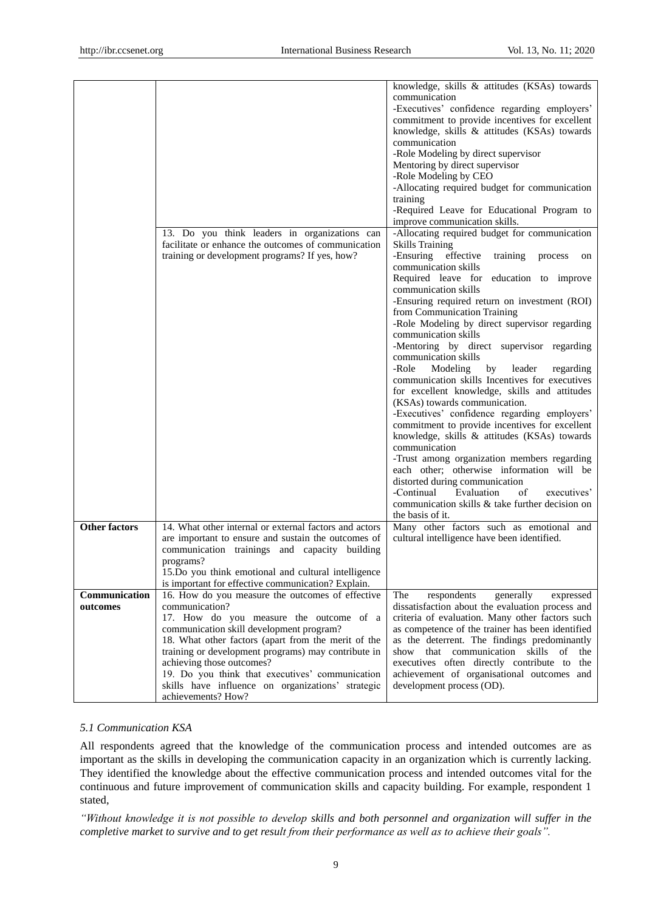|                      | 13. Do you think leaders in organizations can<br>facilitate or enhance the outcomes of communication<br>training or development programs? If yes, how?                                                                                                                                                                                                                         | knowledge, skills & attitudes (KSAs) towards<br>communication<br>-Executives' confidence regarding employers'<br>commitment to provide incentives for excellent<br>knowledge, skills & attitudes (KSAs) towards<br>communication<br>-Role Modeling by direct supervisor<br>Mentoring by direct supervisor<br>-Role Modeling by CEO<br>-Allocating required budget for communication<br>training<br>-Required Leave for Educational Program to<br>improve communication skills.<br>-Allocating required budget for communication<br><b>Skills Training</b><br>-Ensuring effective<br>training<br>process<br>on<br>communication skills<br>Required leave for<br>education to improve<br>communication skills<br>-Ensuring required return on investment (ROI)<br>from Communication Training<br>-Role Modeling by direct supervisor regarding<br>communication skills<br>-Mentoring by direct supervisor regarding<br>communication skills<br>-Role<br>Modeling<br>by<br>leader<br>regarding<br>communication skills Incentives for executives<br>for excellent knowledge, skills and attitudes<br>(KSAs) towards communication.<br>-Executives' confidence regarding employers'<br>commitment to provide incentives for excellent<br>knowledge, skills & attitudes (KSAs) towards<br>communication<br>-Trust among organization members regarding<br>each other; otherwise information will be<br>distorted during communication<br>-Continual<br>Evaluation<br>of<br>executives' |
|----------------------|--------------------------------------------------------------------------------------------------------------------------------------------------------------------------------------------------------------------------------------------------------------------------------------------------------------------------------------------------------------------------------|-----------------------------------------------------------------------------------------------------------------------------------------------------------------------------------------------------------------------------------------------------------------------------------------------------------------------------------------------------------------------------------------------------------------------------------------------------------------------------------------------------------------------------------------------------------------------------------------------------------------------------------------------------------------------------------------------------------------------------------------------------------------------------------------------------------------------------------------------------------------------------------------------------------------------------------------------------------------------------------------------------------------------------------------------------------------------------------------------------------------------------------------------------------------------------------------------------------------------------------------------------------------------------------------------------------------------------------------------------------------------------------------------------------------------------------------------------------------------------------|
|                      |                                                                                                                                                                                                                                                                                                                                                                                | communication skills & take further decision on<br>the basis of it.                                                                                                                                                                                                                                                                                                                                                                                                                                                                                                                                                                                                                                                                                                                                                                                                                                                                                                                                                                                                                                                                                                                                                                                                                                                                                                                                                                                                               |
| <b>Other factors</b> | 14. What other internal or external factors and actors<br>are important to ensure and sustain the outcomes of<br>communication trainings and capacity building<br>programs?<br>15. Do you think emotional and cultural intelligence<br>is important for effective communication? Explain.                                                                                      | Many other factors such as emotional and<br>cultural intelligence have been identified.                                                                                                                                                                                                                                                                                                                                                                                                                                                                                                                                                                                                                                                                                                                                                                                                                                                                                                                                                                                                                                                                                                                                                                                                                                                                                                                                                                                           |
| Communication        | 16. How do you measure the outcomes of effective                                                                                                                                                                                                                                                                                                                               | The<br>respondents<br>generally<br>expressed                                                                                                                                                                                                                                                                                                                                                                                                                                                                                                                                                                                                                                                                                                                                                                                                                                                                                                                                                                                                                                                                                                                                                                                                                                                                                                                                                                                                                                      |
| outcomes             | communication?<br>17. How do you measure the outcome of a<br>communication skill development program?<br>18. What other factors (apart from the merit of the<br>training or development programs) may contribute in<br>achieving those outcomes?<br>19. Do you think that executives' communication<br>skills have influence on organizations' strategic<br>achievements? How? | dissatisfaction about the evaluation process and<br>criteria of evaluation. Many other factors such<br>as competence of the trainer has been identified<br>as the deterrent. The findings predominantly<br>that communication skills<br>show<br>of<br>the<br>executives often directly contribute to the<br>achievement of organisational outcomes and<br>development process (OD).                                                                                                                                                                                                                                                                                                                                                                                                                                                                                                                                                                                                                                                                                                                                                                                                                                                                                                                                                                                                                                                                                               |

### *5.1 Communication KSA*

All respondents agreed that the knowledge of the communication process and intended outcomes are as important as the skills in developing the communication capacity in an organization which is currently lacking. They identified the knowledge about the effective communication process and intended outcomes vital for the continuous and future improvement of communication skills and capacity building. For example, respondent 1 stated,

*"Without knowledge it is not possible to develop skills and both personnel and organization will suffer in the completive market to survive and to get result from their performance as well as to achieve their goals".*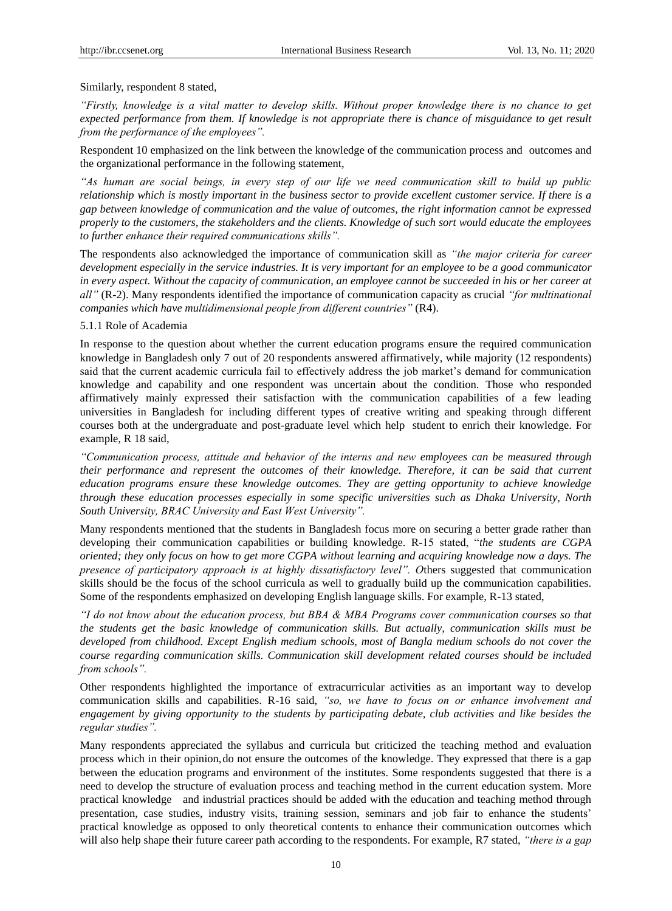### Similarly, respondent 8 stated,

*"Firstly, knowledge is a vital matter to develop skills. Without proper knowledge there is no chance to get expected performance from them. If knowledge is not appropriate there is chance of misguidance to get result from the performance of the employees".*

Respondent 10 emphasized on the link between the knowledge of the communication process and outcomes and the organizational performance in the following statement,

*"As human are social beings, in every step of our life we need communication skill to build up public relationship which is mostly important in the business sector to provide excellent customer service. If there is a gap between knowledge of communication and the value of outcomes, the right information cannot be expressed properly to the customers, the stakeholders and the clients. Knowledge of such sort would educate the employees to further enhance their required communications skills".*

The respondents also acknowledged the importance of communication skill as *"the major criteria for career development especially in the service industries. It is very important for an employee to be a good communicator in every aspect. Without the capacity of communication, an employee cannot be succeeded in his or her career at all"* (R-2). Many respondents identified the importance of communication capacity as crucial *"for multinational companies which have multidimensional people from different countries"* (R4).

### 5.1.1 Role of Academia

In response to the question about whether the current education programs ensure the required communication knowledge in Bangladesh only 7 out of 20 respondents answered affirmatively, while majority (12 respondents) said that the current academic curricula fail to effectively address the job market"s demand for communication knowledge and capability and one respondent was uncertain about the condition. Those who responded affirmatively mainly expressed their satisfaction with the communication capabilities of a few leading universities in Bangladesh for including different types of creative writing and speaking through different courses both at the undergraduate and post-graduate level which help student to enrich their knowledge. For example, R 18 said,

*"Communication process, attitude and behavior of the interns and new employees can be measured through their performance and represent the outcomes of their knowledge. Therefore, it can be said that current education programs ensure these knowledge outcomes. They are getting opportunity to achieve knowledge through these education processes especially in some specific universities such as Dhaka University, North South University, BRAC University and East West University".*

Many respondents mentioned that the students in Bangladesh focus more on securing a better grade rather than developing their communication capabilities or building knowledge. R-15 stated, "*the students are CGPA oriented; they only focus on how to get more CGPA without learning and acquiring knowledge now a days. The presence of participatory approach is at highly dissatisfactory level". O*thers suggested that communication skills should be the focus of the school curricula as well to gradually build up the communication capabilities. Some of the respondents emphasized on developing English language skills. For example, R-13 stated,

*"I do not know about the education process, but BBA & MBA Programs cover communication courses so that the students get the basic knowledge of communication skills. But actually, communication skills must be developed from childhood. Except English medium schools, most of Bangla medium schools do not cover the course regarding communication skills. Communication skill development related courses should be included from schools".*

Other respondents highlighted the importance of extracurricular activities as an important way to develop communication skills and capabilities. R-16 said, *"so, we have to focus on or enhance involvement and engagement by giving opportunity to the students by participating debate, club activities and like besides the regular studies".*

Many respondents appreciated the syllabus and curricula but criticized the teaching method and evaluation process which in their opinion,do not ensure the outcomes of the knowledge. They expressed that there is a gap between the education programs and environment of the institutes. Some respondents suggested that there is a need to develop the structure of evaluation process and teaching method in the current education system. More practical knowledge and industrial practices should be added with the education and teaching method through presentation, case studies, industry visits, training session, seminars and job fair to enhance the students" practical knowledge as opposed to only theoretical contents to enhance their communication outcomes which will also help shape their future career path according to the respondents. For example, R7 stated, *"there is a gap*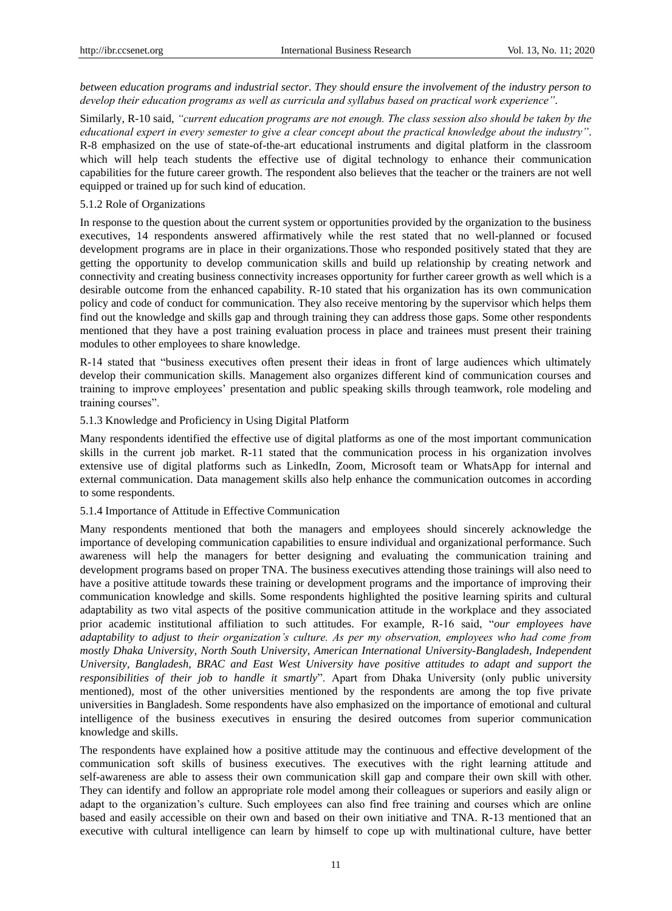*between education programs and industrial sector. They should ensure the involvement of the industry person to develop their education programs as well as curricula and syllabus based on practical work experience"*.

Similarly, R-10 said, *"current education programs are not enough. The class session also should be taken by the educational expert in every semester to give a clear concept about the practical knowledge about the industry"*. R-8 emphasized on the use of state-of-the-art educational instruments and digital platform in the classroom which will help teach students the effective use of digital technology to enhance their communication capabilities for the future career growth. The respondent also believes that the teacher or the trainers are not well equipped or trained up for such kind of education.

### 5.1.2 Role of Organizations

In response to the question about the current system or opportunities provided by the organization to the business executives, 14 respondents answered affirmatively while the rest stated that no well-planned or focused development programs are in place in their organizations.Those who responded positively stated that they are getting the opportunity to develop communication skills and build up relationship by creating network and connectivity and creating business connectivity increases opportunity for further career growth as well which is a desirable outcome from the enhanced capability. R-10 stated that his organization has its own communication policy and code of conduct for communication. They also receive mentoring by the supervisor which helps them find out the knowledge and skills gap and through training they can address those gaps. Some other respondents mentioned that they have a post training evaluation process in place and trainees must present their training modules to other employees to share knowledge.

R-14 stated that "business executives often present their ideas in front of large audiences which ultimately develop their communication skills. Management also organizes different kind of communication courses and training to improve employees" presentation and public speaking skills through teamwork, role modeling and training courses".

### 5.1.3 Knowledge and Proficiency in Using Digital Platform

Many respondents identified the effective use of digital platforms as one of the most important communication skills in the current job market. R-11 stated that the communication process in his organization involves extensive use of digital platforms such as LinkedIn, Zoom, Microsoft team or WhatsApp for internal and external communication. Data management skills also help enhance the communication outcomes in according to some respondents.

### 5.1.4 Importance of Attitude in Effective Communication

Many respondents mentioned that both the managers and employees should sincerely acknowledge the importance of developing communication capabilities to ensure individual and organizational performance. Such awareness will help the managers for better designing and evaluating the communication training and development programs based on proper TNA. The business executives attending those trainings will also need to have a positive attitude towards these training or development programs and the importance of improving their communication knowledge and skills. Some respondents highlighted the positive learning spirits and cultural adaptability as two vital aspects of the positive communication attitude in the workplace and they associated prior academic institutional affiliation to such attitudes. For example, R-16 said, "*our employees have adaptability to adjust to their organization's culture. As per my observation, employees who had come from mostly Dhaka University, North South University, American International University-Bangladesh, Independent University, Bangladesh, BRAC and East West University have positive attitudes to adapt and support the responsibilities of their job to handle it smartly*". Apart from Dhaka University (only public university mentioned), most of the other universities mentioned by the respondents are among the top five private universities in Bangladesh. Some respondents have also emphasized on the importance of emotional and cultural intelligence of the business executives in ensuring the desired outcomes from superior communication knowledge and skills.

The respondents have explained how a positive attitude may the continuous and effective development of the communication soft skills of business executives. The executives with the right learning attitude and self-awareness are able to assess their own communication skill gap and compare their own skill with other. They can identify and follow an appropriate role model among their colleagues or superiors and easily align or adapt to the organization"s culture. Such employees can also find free training and courses which are online based and easily accessible on their own and based on their own initiative and TNA. R-13 mentioned that an executive with cultural intelligence can learn by himself to cope up with multinational culture, have better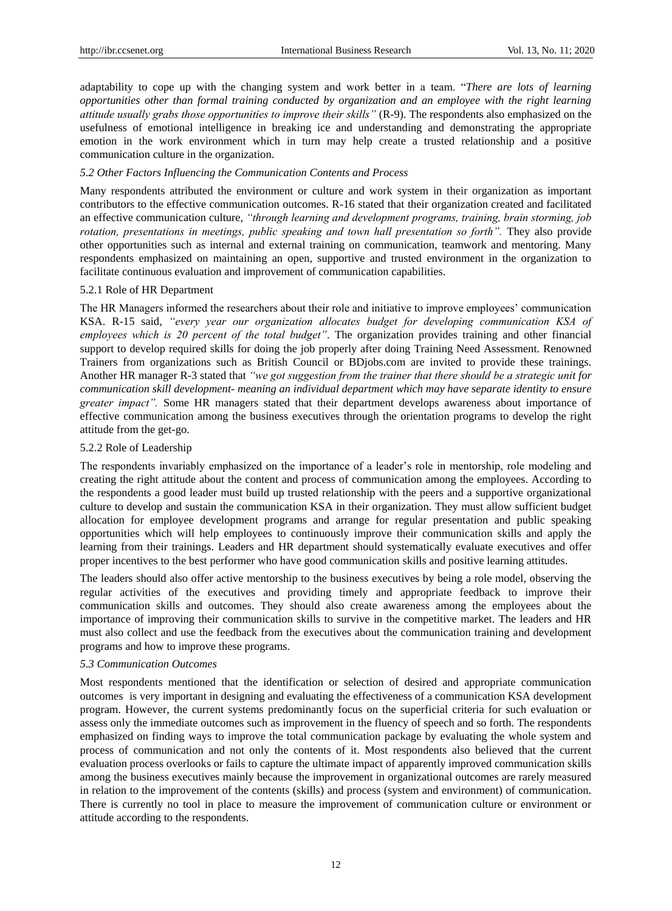adaptability to cope up with the changing system and work better in a team. "*There are lots of learning opportunities other than formal training conducted by organization and an employee with the right learning attitude usually grabs those opportunities to improve their skills"* (R-9). The respondents also emphasized on the usefulness of emotional intelligence in breaking ice and understanding and demonstrating the appropriate emotion in the work environment which in turn may help create a trusted relationship and a positive communication culture in the organization.

### *5.2 Other Factors Influencing the Communication Contents and Process*

Many respondents attributed the environment or culture and work system in their organization as important contributors to the effective communication outcomes. R-16 stated that their organization created and facilitated an effective communication culture, *"through learning and development programs, training, brain storming, job rotation, presentations in meetings, public speaking and town hall presentation so forth"*. They also provide other opportunities such as internal and external training on communication, teamwork and mentoring. Many respondents emphasized on maintaining an open, supportive and trusted environment in the organization to facilitate continuous evaluation and improvement of communication capabilities.

### 5.2.1 Role of HR Department

The HR Managers informed the researchers about their role and initiative to improve employees" communication KSA. R-15 said, *"every year our organization allocates budget for developing communication KSA of employees which is 20 percent of the total budget"*. The organization provides training and other financial support to develop required skills for doing the job properly after doing Training Need Assessment. Renowned Trainers from organizations such as British Council or BDjobs.com are invited to provide these trainings. Another HR manager R-3 stated that *"we got suggestion from the trainer that there should be a strategic unit for communication skill development- meaning an individual department which may have separate identity to ensure greater impact".* Some HR managers stated that their department develops awareness about importance of effective communication among the business executives through the orientation programs to develop the right attitude from the get-go.

### 5.2.2 Role of Leadership

The respondents invariably emphasized on the importance of a leader's role in mentorship, role modeling and creating the right attitude about the content and process of communication among the employees. According to the respondents a good leader must build up trusted relationship with the peers and a supportive organizational culture to develop and sustain the communication KSA in their organization. They must allow sufficient budget allocation for employee development programs and arrange for regular presentation and public speaking opportunities which will help employees to continuously improve their communication skills and apply the learning from their trainings. Leaders and HR department should systematically evaluate executives and offer proper incentives to the best performer who have good communication skills and positive learning attitudes.

The leaders should also offer active mentorship to the business executives by being a role model, observing the regular activities of the executives and providing timely and appropriate feedback to improve their communication skills and outcomes. They should also create awareness among the employees about the importance of improving their communication skills to survive in the competitive market. The leaders and HR must also collect and use the feedback from the executives about the communication training and development programs and how to improve these programs.

### *5.3 Communication Outcomes*

Most respondents mentioned that the identification or selection of desired and appropriate communication outcomes is very important in designing and evaluating the effectiveness of a communication KSA development program. However, the current systems predominantly focus on the superficial criteria for such evaluation or assess only the immediate outcomes such as improvement in the fluency of speech and so forth. The respondents emphasized on finding ways to improve the total communication package by evaluating the whole system and process of communication and not only the contents of it. Most respondents also believed that the current evaluation process overlooks or fails to capture the ultimate impact of apparently improved communication skills among the business executives mainly because the improvement in organizational outcomes are rarely measured in relation to the improvement of the contents (skills) and process (system and environment) of communication. There is currently no tool in place to measure the improvement of communication culture or environment or attitude according to the respondents.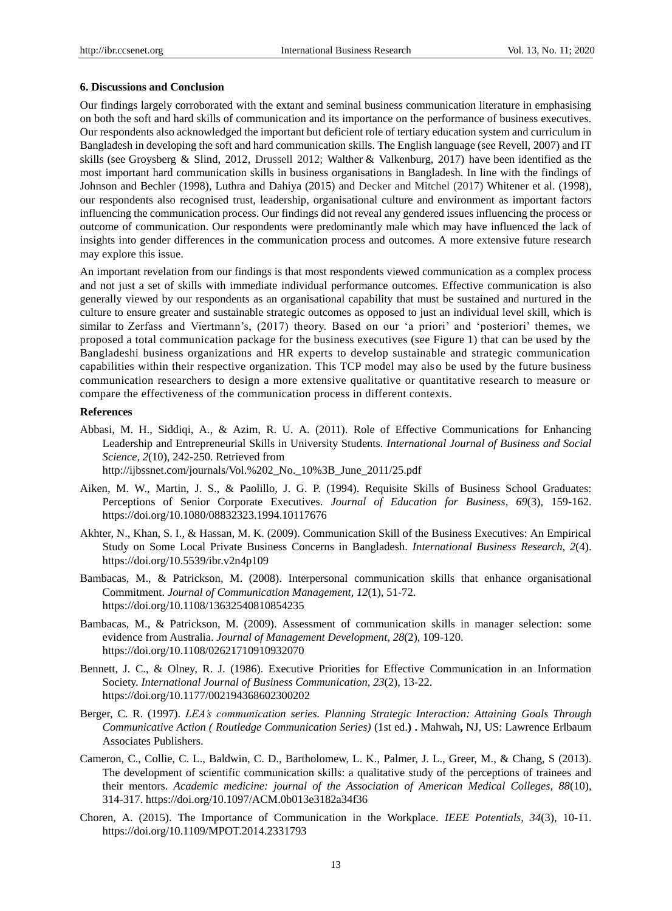### **6. Discussions and Conclusion**

Our findings largely corroborated with the extant and seminal business communication literature in emphasising on both the soft and hard skills of communication and its importance on the performance of business executives. Our respondents also acknowledged the important but deficient role of tertiary education system and curriculum in Bangladesh in developing the soft and hard communication skills. The English language (see Revell, 2007) and IT skills (see Groysberg & Slind, 2012, Drussell 2012; [Walther](https://onlinelibrary.wiley.com/action/doSearch?ContribAuthorStored=Walther%2C+Joseph+B) & Valkenburg, 2017) have been identified as the most important hard communication skills in business organisations in Bangladesh. In line with the findings of Johnson and Bechler (1998), Luthra and Dahiya (2015) and Decker and Mitchel (2017) Whitener et al. (1998), our respondents also recognised trust, leadership, organisational culture and environment as important factors influencing the communication process. Our findings did not reveal any gendered issues influencing the process or outcome of communication. Our respondents were predominantly male which may have influenced the lack of insights into gender differences in the communication process and outcomes. A more extensive future research may explore this issue.

An important revelation from our findings is that most respondents viewed communication as a complex process and not just a set of skills with immediate individual performance outcomes. Effective communication is also generally viewed by our respondents as an organisational capability that must be sustained and nurtured in the culture to ensure greater and sustainable strategic outcomes as opposed to just an individual level skill, which is similar to Zerfass and Viertmann's, (2017) theory. Based on our 'a priori' and 'posteriori' themes, we proposed a total communication package for the business executives (see Figure 1) that can be used by the Bangladeshi business organizations and HR experts to develop sustainable and strategic communication capabilities within their respective organization. This TCP model may also be used by the future business communication researchers to design a more extensive qualitative or quantitative research to measure or compare the effectiveness of the communication process in different contexts.

#### **References**

- Abbasi, M. H., Siddiqi, A., & Azim, R. U. A. (2011). Role of Effective Communications for Enhancing Leadership and Entrepreneurial Skills in University Students. *International Journal of Business and Social Science, 2*(10), 242-250. Retrieved from http://ijbssnet.com/journals/Vol.%202\_No.\_10%3B\_June\_2011/25.pdf
- Aiken, M. W., Martin, J. S., & Paolillo, J. G. P. (1994). Requisite Skills of Business School Graduates: Perceptions of Senior Corporate Executives. *Journal of Education for Business*, *69*(3), 159-162. <https://doi.org/10.1080/08832323.1994.10117676>
- Akhter, N., Khan, S. I., & Hassan, M. K. (2009). Communication Skill of the Business Executives: An Empirical Study on Some Local Private Business Concerns in Bangladesh. *International Business Research*, *2*(4). https://doi.org/10.5539/ibr.v2n4p109
- Bambacas, M., & Patrickson, M. (2008). Interpersonal communication skills that enhance organisational Commitment. *Journal of Communication Management*, *12*(1), 51-72. https://doi.org/10.1108/13632540810854235
- Bambacas, M., & Patrickson, M. (2009). Assessment of communication skills in manager selection: some evidence from Australia. *Journal of Management Development*, *28*(2), 109-120. https://doi.org/10.1108/02621710910932070
- Bennett, J. C., & Olney, R. J. (1986). Executive Priorities for Effective Communication in an Information Society. *International Journal of Business Communication*, *23*(2), 13-22. https://doi.org/10.1177/002194368602300202
- Berger, C. R. (1997). *LEA's communication series. Planning Strategic Interaction: Attaining Goals Through Communicative Action ( Routledge Communication Series)* (1st ed.**) .** Mahwah**,** NJ, US: Lawrence Erlbaum Associates Publishers.
- Cameron, C., Collie, C. L., Baldwin, C. D., Bartholomew, L. K., Palmer, J. L., Greer, M., & Chang, S (2013). The development of scientific communication skills: a qualitative study of the perceptions of trainees and their mentors. *Academic medicine: journal of the Association of American Medical Colleges, 88*(10), 314-317. https://doi.org/10.1097/ACM.0b013e3182a34f36
- Choren, A. (2015). The Importance of Communication in the Workplace. *IEEE Potentials, 34*(3), 10-11. https://doi.org/10.1109/MPOT.2014.2331793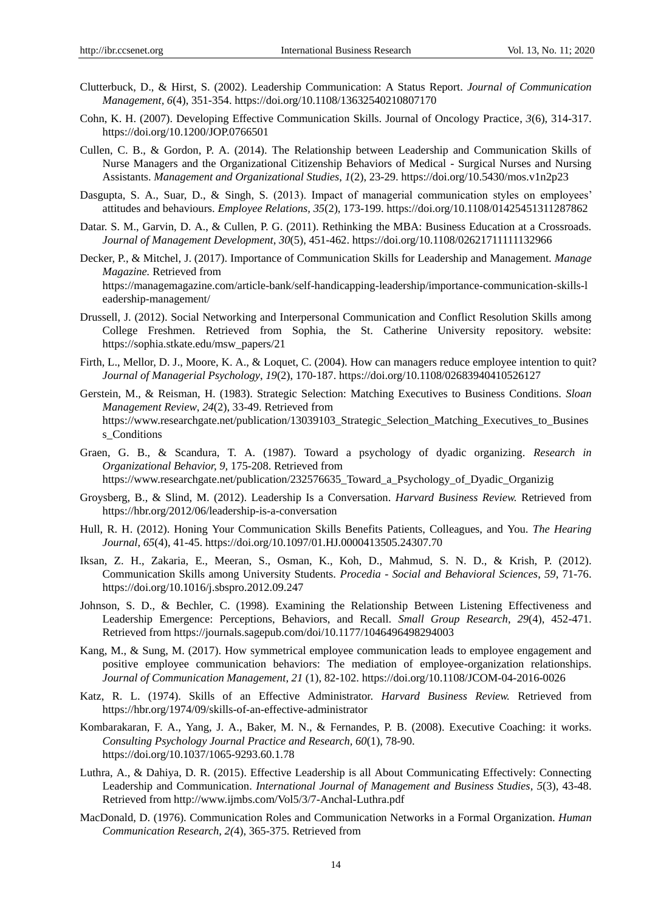- Clutterbuck, D., & Hirst, S. (2002). Leadership Communication: A Status Report. *Journal of Communication Management, 6*(4), 351-354. https://doi.org/10.1108/13632540210807170
- Cohn, K. H. (2007). Developing Effective Communication Skills. Journal of Oncology Practice, *3*(6), 314-317. https://doi.org/10.1200/JOP.0766501
- Cullen, C. B., & Gordon, P. A. (2014). The Relationship between Leadership and Communication Skills of Nurse Managers and the Organizational Citizenship Behaviors of Medical - Surgical Nurses and Nursing Assistants. *Management and Organizational Studies*, *1*(2), 23-29. https://doi.org/10.5430/mos.v1n2p23
- Dasgupta, S. A., Suar, D., & Singh, S. (2013). Impact of managerial communication styles on employees' attitudes and behaviours. *Employee Relations, 35*(2), 173-199. https://doi.org/10.1108/01425451311287862
- Datar. S. M., Garvin, D. A., & Cullen, P. G. (2011). Rethinking the MBA: Business Education at a Crossroads. *Journal of Management Development*, *30*(5), 451-462. https://doi.org/10.1108/02621711111132966
- Decker, P., & Mitchel, J. (2017). Importance of Communication Skills for Leadership and Management. *Manage Magazine.* Retrieved from https://managemagazine.com/article-bank/self-handicapping-leadership/importance-communication-skills-l eadership-management/
- Drussell, J. (2012). Social Networking and Interpersonal Communication and Conflict Resolution Skills among College Freshmen. Retrieved from Sophia, the St. Catherine University repository. website: https://sophia.stkate.edu/msw\_papers/21
- Firth, L., Mellor, D. J., Moore, K. A., & Loquet, C. (2004). How can managers reduce employee intention to quit? *Journal of Managerial Psychology*, *19*(2), 170-187. https://doi.org/10.1108/02683940410526127
- Gerstein, M., & Reisman, H. (1983). Strategic Selection: Matching Executives to Business Conditions. *Sloan Management Review*, *24*(2), 33-49. Retrieved from https://www.researchgate.net/publication/13039103 Strategic Selection Matching Executives to Busines s Conditions
- Graen, G. B., & Scandura, T. A. (1987). Toward a psychology of dyadic organizing. *Research in Organizational Behavior, 9,* 175-208. Retrieved from https://www.researchgate.net/publication/232576635\_Toward\_a\_Psychology\_of\_Dyadic\_Organizig
- Groysberg, B., & Slind, M. (2012). Leadership Is a Conversation. *Harvard Business Review.* Retrieved from https://hbr.org/2012/06/leadership-is-a-conversation
- Hull, R. H. (2012). Honing Your Communication Skills Benefits Patients, Colleagues, and You. *The Hearing Journal*, *65*(4), 41-45. https://doi.org/10.1097/01.HJ.0000413505.24307.70
- Iksan, Z. H., Zakaria, E., Meeran, S., Osman, K., Koh, D., Mahmud, S. N. D., & Krish, P. (2012). Communication Skills among University Students. *Procedia - Social and Behavioral Sciences*, *59*, 71-76. https://doi.org/10.1016/j.sbspro.2012.09.247
- Johnson, S. D., & Bechler, C. (1998). Examining the Relationship Between Listening Effectiveness and Leadership Emergence: Perceptions, Behaviors, and Recall. *Small Group Research*, *29*(4), 452-471. Retrieved from https://journals.sagepub.com/doi/10.1177/1046496498294003
- Kang, M., & Sung, M. (2017). How symmetrical employee communication leads to employee engagement and positive employee communication behaviors: The mediation of employee-organization relationships. *Journal of Communication Management*, *21* (1), 82-102. https://doi.org/10.1108/JCOM-04-2016-0026
- Katz, R. L. (1974). Skills of an Effective Administrator. *Harvard Business Review.* Retrieved from https://hbr.org/1974/09/skills-of-an-effective-administrator
- Kombarakaran, F. A., Yang, J. A., Baker, M. N., & Fernandes, P. B. (2008). Executive Coaching: it works. *Consulting Psychology Journal Practice and Research, 60*(1), 78-90. https://doi.org/10.1037/1065-9293.60.1.78
- Luthra, A., & Dahiya, D. R. (2015). Effective Leadership is all About Communicating Effectively: Connecting Leadership and Communication. *International Journal of Management and Business Studies*, *5*(3), 43-48. Retrieved from http://www.ijmbs.com/Vol5/3/7-Anchal-Luthra.pdf
- MacDonald, D. (1976). Communication Roles and Communication Networks in a Formal Organization. *Human Communication Research, 2(*4), 365-375. Retrieved from